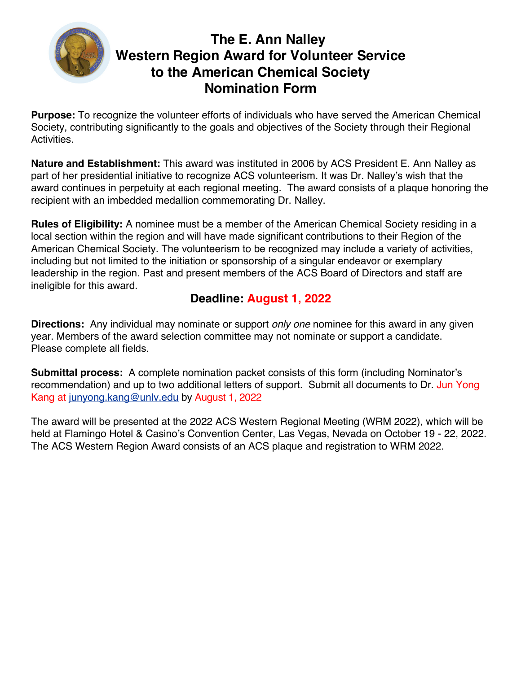

**Purpose:** To recognize the volunteer efforts of individuals who have served the American Chemical Society, contributing significantly to the goals and objectives of the Society through their Regional Activities.

**Nature and Establishment:** This award was instituted in 2006 by ACS President E. Ann Nalley as part of her presidential initiative to recognize ACS volunteerism. It was Dr. Nalley's wish that the award continues in perpetuity at each regional meeting. The award consists of a plaque honoring the recipient with an imbedded medallion commemorating Dr. Nalley.

**Rules of Eligibility:** A nominee must be a member of the American Chemical Society residing in a local section within the region and will have made significant contributions to their Region of the American Chemical Society. The volunteerism to be recognized may include a variety of activities, including but not limited to the initiation or sponsorship of a singular endeavor or exemplary leadership in the region. Past and present members of the ACS Board of Directors and staff are ineligible for this award.

### **Deadline: August 1, 2022**

**Directions:** Any individual may nominate or support *only one* nominee for this award in any given year. Members of the award selection committee may not nominate or support a candidate. Please complete all fields*.*

**Submittal process:** A complete nomination packet consists of this form (including Nominator's recommendation) and up to two additional letters of support. Submit all documents to Dr. Jun Yong Kang at junyong.kang@unlv.edu by August 1, 2022

The award will be presented at the 2022 ACS Western Regional Meeting (WRM 2022), which will be held at Flamingo Hotel & Casino's Convention Center, Las Vegas, Nevada on October 19 - 22, 2022. The ACS Western Region Award consists of an ACS plaque and registration to WRM 2022.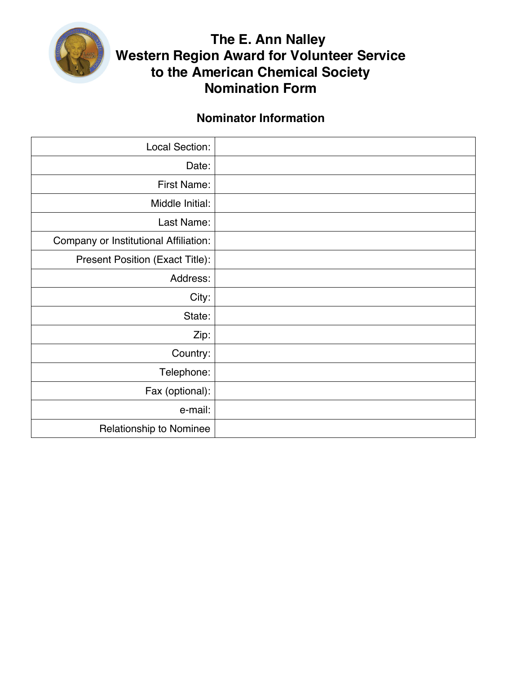

### **Nominator Information**

| Local Section:                        |  |
|---------------------------------------|--|
| Date:                                 |  |
| First Name:                           |  |
| Middle Initial:                       |  |
| Last Name:                            |  |
| Company or Institutional Affiliation: |  |
| Present Position (Exact Title):       |  |
| Address:                              |  |
| City:                                 |  |
| State:                                |  |
| Zip:                                  |  |
| Country:                              |  |
| Telephone:                            |  |
| Fax (optional):                       |  |
| e-mail:                               |  |
| <b>Relationship to Nominee</b>        |  |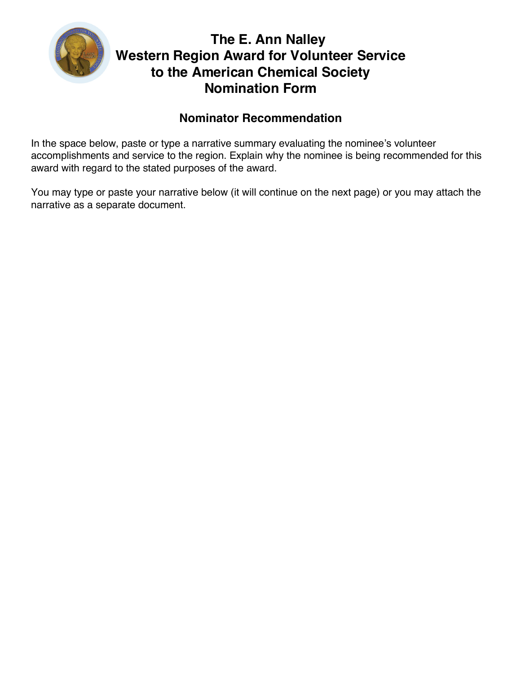

### **Nominator Recommendation**

In the space below, paste or type a narrative summary evaluating the nominee's volunteer accomplishments and service to the region. Explain why the nominee is being recommended for this award with regard to the stated purposes of the award.

You may type or paste your narrative below (it will continue on the next page) or you may attach the narrative as a separate document.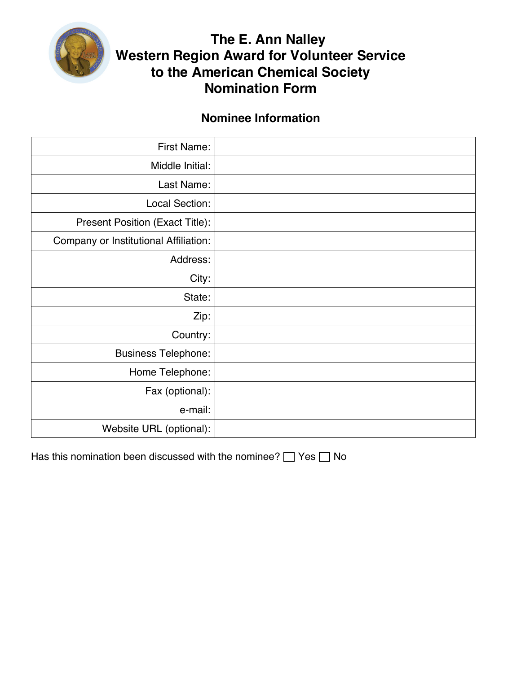

#### **Nominee Information**

| First Name:                           |  |
|---------------------------------------|--|
| Middle Initial:                       |  |
| Last Name:                            |  |
| Local Section:                        |  |
| Present Position (Exact Title):       |  |
| Company or Institutional Affiliation: |  |
| Address:                              |  |
| City:                                 |  |
| State:                                |  |
| Zip:                                  |  |
| Country:                              |  |
| <b>Business Telephone:</b>            |  |
| Home Telephone:                       |  |
| Fax (optional):                       |  |
| e-mail:                               |  |
| Website URL (optional):               |  |

Has this nomination been discussed with the nominee?  $\Box$  Yes  $\Box$  No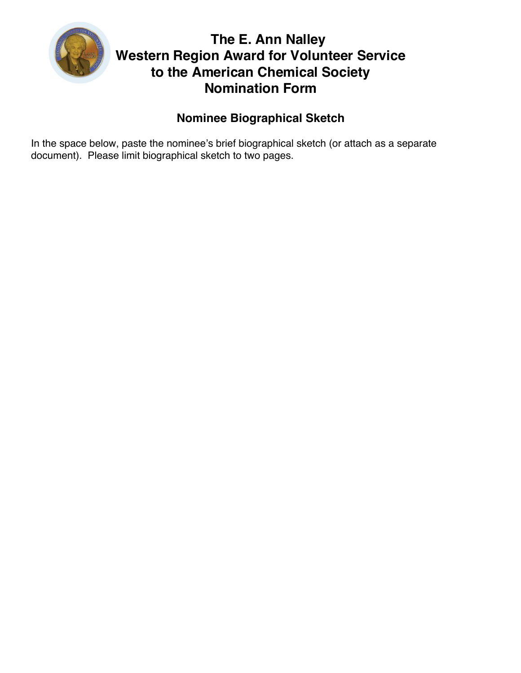

### **Nominee Biographical Sketch**

In the space below, paste the nominee's brief biographical sketch (or attach as a separate document). Please limit biographical sketch to two pages.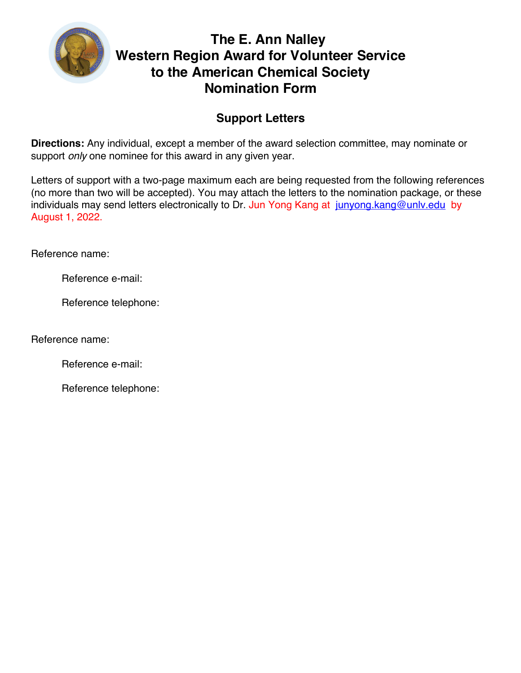

### **Support Letters**

**Directions:** Any individual, except a member of the award selection committee, may nominate or support *only* one nominee for this award in any given year.

Letters of support with a two-page maximum each are being requested from the following references (no more than two will be accepted). You may attach the letters to the nomination package, or these individuals may send letters electronically to Dr. Jun Yong Kang at junyong kang@unly.edu by August 1, 2022.

Reference name:

Reference e-mail:

Reference telephone:

Reference name:

Reference e-mail:

Reference telephone: